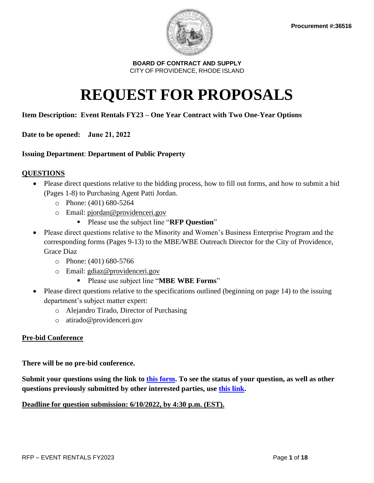

# **REQUEST FOR PROPOSALS**

## **Item Description: Event Rentals FY23 – One Year Contract with Two One-Year Options**

**Date to be opened: June 21, 2022**

## **Issuing Department**: **Department of Public Property**

## **QUESTIONS**

- Please direct questions relative to the bidding process, how to fill out forms, and how to submit a bid (Pages 1-8) to Purchasing Agent Patti Jordan.
	- o Phone: (401) 680-5264
	- o Email: [pjordan@providenceri.gov](mailto:pjordan@providenceri.gov)
		- Please use the subject line "**RFP Question**"
- Please direct questions relative to the Minority and Women's Business Enterprise Program and the corresponding forms (Pages 9-13) to the MBE/WBE Outreach Director for the City of Providence, Grace Diaz
	- o Phone: (401) 680-5766
	- o Email: [gdiaz@providenceri.gov](mailto:gdiaz@providenceri.gov)
		- Please use subject line "**MBE WBE Forms**"
- Please direct questions relative to the specifications outlined (beginning on page 14) to the issuing department's subject matter expert:
	- o Alejandro Tirado, Director of Purchasing
	- o atirado@providenceri.gov

## **Pre-bid Conference**

**There will be no pre-bid conference.** 

**Submit your questions using the link to [this form.](https://forms.monday.com/forms/91f8d7a5ede3b6616f72d65e93b5a271?r=use1) To see the status of your question, as well as other questions previously submitted by other interested parties, use [this link.](https://view.monday.com/2660291820-c863073a0524ad7b804046f434698357?r=use1)**

## **Deadline for question submission: 6/10/2022, by 4:30 p.m. (EST).**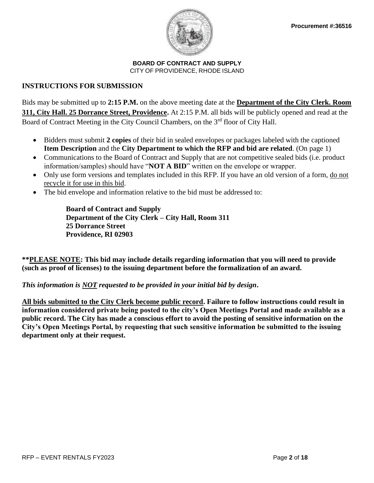

## **INSTRUCTIONS FOR SUBMISSION**

Bids may be submitted up to **2:15 P.M.** on the above meeting date at the **Department of the City Clerk. Room 311, City Hall. 25 Dorrance Street, Providence.** At 2:15 P.M. all bids will be publicly opened and read at the Board of Contract Meeting in the City Council Chambers, on the 3<sup>rd</sup> floor of City Hall.

- Bidders must submit **2 copies** of their bid in sealed envelopes or packages labeled with the captioned **Item Description** and the **City Department to which the RFP and bid are related**. (On page 1)
- Communications to the Board of Contract and Supply that are not competitive sealed bids (i.e. product information/samples) should have "**NOT A BID**" written on the envelope or wrapper.
- Only use form versions and templates included in this RFP. If you have an old version of a form, do not recycle it for use in this bid.
- The bid envelope and information relative to the bid must be addressed to:

**Board of Contract and Supply Department of the City Clerk – City Hall, Room 311 25 Dorrance Street Providence, RI 02903**

**\*\*PLEASE NOTE: This bid may include details regarding information that you will need to provide (such as proof of licenses) to the issuing department before the formalization of an award.** 

## *This information is NOT requested to be provided in your initial bid by design***.**

**All bids submitted to the City Clerk become public record. Failure to follow instructions could result in information considered private being posted to the city's Open Meetings Portal and made available as a public record. The City has made a conscious effort to avoid the posting of sensitive information on the City's Open Meetings Portal, by requesting that such sensitive information be submitted to the issuing department only at their request.**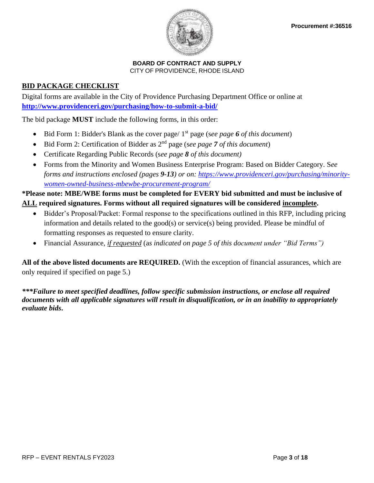

## **BID PACKAGE CHECKLIST**

Digital forms are available in the City of Providence Purchasing Department Office or online at **<http://www.providenceri.gov/purchasing/how-to-submit-a-bid/>**

The bid package **MUST** include the following forms, in this order:

- Bid Form 1: Bidder's Blank as the cover page/ 1st page (s*ee page 6 of this document*)
- Bid Form 2: Certification of Bidder as 2nd page (s*ee page 7 of this document*)
- Certificate Regarding Public Records (s*ee page 8 of this document)*
- Forms from the Minority and Women Business Enterprise Program: Based on Bidder Category. S*ee forms and instructions enclosed (pages 9-13) or on: [https://www.providenceri.gov/purchasing/minority](https://www.providenceri.gov/purchasing/minority-women-owned-business-mbewbe-procurement-program/)[women-owned-business-mbewbe-procurement-program/](https://www.providenceri.gov/purchasing/minority-women-owned-business-mbewbe-procurement-program/)*

## **\*Please note: MBE/WBE forms must be completed for EVERY bid submitted and must be inclusive of ALL required signatures. Forms without all required signatures will be considered incomplete.**

- Bidder's Proposal/Packet: Formal response to the specifications outlined in this RFP, including pricing information and details related to the good(s) or service(s) being provided. Please be mindful of formatting responses as requested to ensure clarity.
- Financial Assurance, *if requested* (a*s indicated on page 5 of this document under "Bid Terms")*

**All of the above listed documents are REQUIRED.** (With the exception of financial assurances, which are only required if specified on page 5.)

*\*\*\*Failure to meet specified deadlines, follow specific submission instructions, or enclose all required documents with all applicable signatures will result in disqualification, or in an inability to appropriately evaluate bids***.**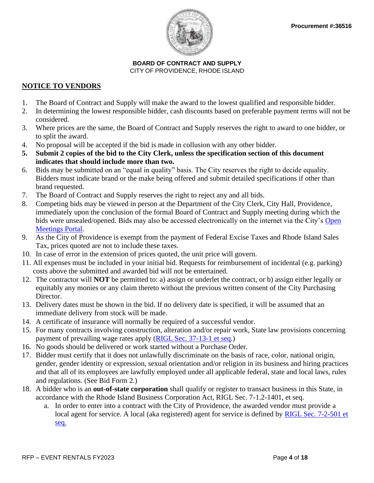

## **NOTICE TO VENDORS**

- 1. The Board of Contract and Supply will make the award to the lowest qualified and responsible bidder.
- 2. In determining the lowest responsible bidder, cash discounts based on preferable payment terms will not be considered.
- 3. Where prices are the same, the Board of Contract and Supply reserves the right to award to one bidder, or to split the award.
- 4. No proposal will be accepted if the bid is made in collusion with any other bidder.
- **5. Submit 2 copies of the bid to the City Clerk, unless the specification section of this document indicates that should include more than two.**
- 6. Bids may be submitted on an "equal in quality" basis. The City reserves the right to decide equality. Bidders must indicate brand or the make being offered and submit detailed specifications if other than brand requested.
- 7. The Board of Contract and Supply reserves the right to reject any and all bids.
- 8. Competing bids may be viewed in person at the Department of the City Clerk, City Hall, Providence, immediately upon the conclusion of the formal Board of Contract and Supply meeting during which the bids were unsealed/opened. Bids may also be accessed electronically on the internet via the City's [Open](http://providenceri.iqm2.com/Citizens/Default.aspx)  [Meetings Portal.](http://providenceri.iqm2.com/Citizens/Default.aspx)
- 9. As the City of Providence is exempt from the payment of Federal Excise Taxes and Rhode Island Sales Tax, prices quoted are not to include these taxes.
- 10. In case of error in the extension of prices quoted, the unit price will govern.
- 11. All expenses must be included in your initial bid. Requests for reimbursement of incidental (e.g. parking) costs above the submitted and awarded bid will not be entertained.
- 12. The contractor will **NOT** be permitted to: a) assign or underlet the contract, or b) assign either legally or equitably any monies or any claim thereto without the previous written consent of the City Purchasing Director.
- 13. Delivery dates must be shown in the bid. If no delivery date is specified, it will be assumed that an immediate delivery from stock will be made.
- 14. A certificate of insurance will normally be required of a successful vendor.
- 15. For many contracts involving construction, alteration and/or repair work, State law provisions concerning payment of prevailing wage rates apply [\(RIGL Sec. 37-13-1 et seq.](http://webserver.rilin.state.ri.us/Statutes/TITLE37/37-13/INDEX.HTM))
- 16. No goods should be delivered or work started without a Purchase Order.
- 17. Bidder must certify that it does not unlawfully discriminate on the basis of race, color, national origin, gender, gender identity or expression, sexual orientation and/or religion in its business and hiring practices and that all of its employees are lawfully employed under all applicable federal, state and local laws, rules and regulations. (See Bid Form 2.)
- 18. A bidder who is an **out-of-state corporation** shall qualify or register to transact business in this State, in accordance with the Rhode Island Business Corporation Act, RIGL Sec. 7-1.2-1401, et seq.
	- a. In order to enter into a contract with the City of Providence, the awarded vendor must provide a local agent for service. A local (aka registered) agent for service is defined by [RIGL Sec. 7-2-501](http://webserver.rilin.state.ri.us/Statutes/TITLE7/7-1.2/7-1.2-501.HTM) et [seq.](http://webserver.rilin.state.ri.us/Statutes/TITLE7/7-1.2/7-1.2-501.HTM)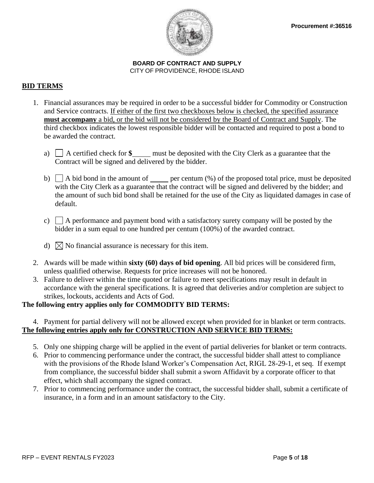

## **BID TERMS**

- 1. Financial assurances may be required in order to be a successful bidder for Commodity or Construction and Service contracts. If either of the first two checkboxes below is checked, the specified assurance **must accompany** a bid, or the bid will not be considered by the Board of Contract and Supply. The third checkbox indicates the lowest responsible bidder will be contacted and required to post a bond to be awarded the contract.
	- a) A certified check for **\$** must be deposited with the City Clerk as a guarantee that the Contract will be signed and delivered by the bidder.
	- b)  $\Box$  A bid bond in the amount of per centum  $\degree$  of the proposed total price, must be deposited with the City Clerk as a guarantee that the contract will be signed and delivered by the bidder; and the amount of such bid bond shall be retained for the use of the City as liquidated damages in case of default.
	- c)  $\Box$  A performance and payment bond with a satisfactory surety company will be posted by the bidder in a sum equal to one hundred per centum (100%) of the awarded contract.
	- d)  $\bowtie$  No financial assurance is necessary for this item.
- 2. Awards will be made within **sixty (60) days of bid opening**. All bid prices will be considered firm, unless qualified otherwise. Requests for price increases will not be honored.
- 3. Failure to deliver within the time quoted or failure to meet specifications may result in default in accordance with the general specifications. It is agreed that deliveries and/or completion are subject to strikes, lockouts, accidents and Acts of God.

## **The following entry applies only for COMMODITY BID TERMS:**

## 4. Payment for partial delivery will not be allowed except when provided for in blanket or term contracts. **The following entries apply only for CONSTRUCTION AND SERVICE BID TERMS:**

- 5. Only one shipping charge will be applied in the event of partial deliveries for blanket or term contracts.
- 6. Prior to commencing performance under the contract, the successful bidder shall attest to compliance with the provisions of the Rhode Island Worker's Compensation Act, RIGL 28-29-1, et seq. If exempt from compliance, the successful bidder shall submit a sworn Affidavit by a corporate officer to that effect, which shall accompany the signed contract.
- 7. Prior to commencing performance under the contract, the successful bidder shall, submit a certificate of insurance, in a form and in an amount satisfactory to the City.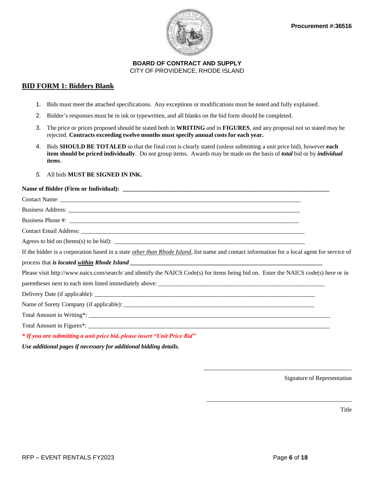

#### **BID FORM 1: Bidders Blank**

- 1. Bids must meet the attached specifications. Any exceptions or modifications must be noted and fully explained.
- 2. Bidder's responses must be in ink or typewritten, and all blanks on the bid form should be completed.
- 3. The price or prices proposed should be stated both in **WRITING** and in **FIGURES**, and any proposal not so stated may be rejected. **Contracts exceeding twelve months must specify annual costs for each year.**
- 4. Bids **SHOULD BE TOTALED** so that the final cost is clearly stated (unless submitting a unit price bid), however **each item should be priced individually**. Do not group items. Awards may be made on the basis of *total* bid or by *individual items*.
- *5.* All bids **MUST BE SIGNED IN INK.**

#### Name of Bidder (Firm or Individual):

| Agrees to bid on (Items(s) to be bid): $\sqrt{\frac{2}{1-\frac{1}{2}} + \frac{1}{2-\frac{1}{2}}}$                                                   |  |
|-----------------------------------------------------------------------------------------------------------------------------------------------------|--|
| If the bidder is a corporation based in a state <i>other than Rhode Island</i> , list name and contact information for a local agent for service of |  |
|                                                                                                                                                     |  |
| Please visit http://www.naics.com/search/ and identify the NAICS Code(s) for items being bid on. Enter the NAICS code(s) here or in                 |  |
|                                                                                                                                                     |  |
|                                                                                                                                                     |  |
|                                                                                                                                                     |  |
|                                                                                                                                                     |  |
|                                                                                                                                                     |  |
| * If you are submitting a unit price bid, please insert "Unit Price Bid"                                                                            |  |

*Use additional pages if necessary for additional bidding details.* 

Signature of Representation

Title

\_\_\_\_\_\_\_\_\_\_\_\_\_\_\_\_\_\_\_\_\_\_\_\_\_\_\_\_\_\_\_\_\_\_\_\_\_\_\_\_\_\_\_\_\_\_\_\_\_

\_\_\_\_\_\_\_\_\_\_\_\_\_\_\_\_\_\_\_\_\_\_\_\_\_\_\_\_\_\_\_\_\_\_\_\_\_\_\_\_\_\_\_\_\_\_\_\_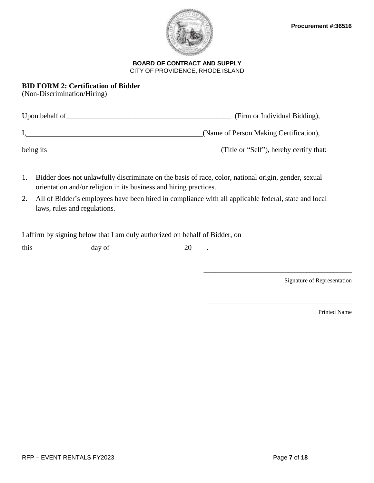

## **BID FORM 2: Certification of Bidder**

(Non-Discrimination/Hiring)

| Upon behalf of | (Firm or Individual Bidding),           |
|----------------|-----------------------------------------|
|                | (Name of Person Making Certification),  |
| being its      | (Title or "Self"), hereby certify that: |

- 1. Bidder does not unlawfully discriminate on the basis of race, color, national origin, gender, sexual orientation and/or religion in its business and hiring practices.
- 2. All of Bidder's employees have been hired in compliance with all applicable federal, state and local laws, rules and regulations.

I affirm by signing below that I am duly authorized on behalf of Bidder, on

this day of 20 .

Signature of Representation

\_\_\_\_\_\_\_\_\_\_\_\_\_\_\_\_\_\_\_\_\_\_\_\_\_\_\_\_\_\_\_\_\_\_\_\_\_\_\_\_\_\_\_\_\_\_\_\_\_

\_\_\_\_\_\_\_\_\_\_\_\_\_\_\_\_\_\_\_\_\_\_\_\_\_\_\_\_\_\_\_\_\_\_\_\_\_\_\_\_\_\_\_\_\_\_\_\_

Printed Name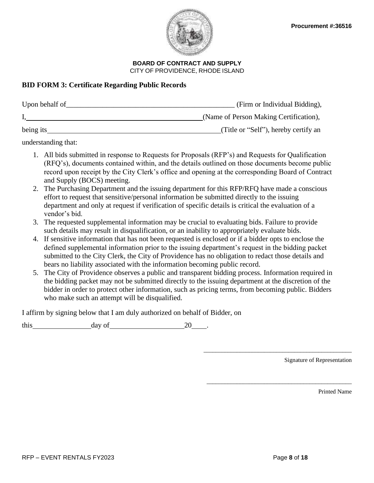

## **BID FORM 3: Certificate Regarding Public Records**

| Upon behalf of | (Firm or Individual Bidding),          |
|----------------|----------------------------------------|
|                | (Name of Person Making Certification), |
| being its      | (Title or "Self"), hereby certify an   |

understanding that:

- 1. All bids submitted in response to Requests for Proposals (RFP's) and Requests for Qualification (RFQ's), documents contained within, and the details outlined on those documents become public record upon receipt by the City Clerk's office and opening at the corresponding Board of Contract and Supply (BOCS) meeting.
- 2. The Purchasing Department and the issuing department for this RFP/RFQ have made a conscious effort to request that sensitive/personal information be submitted directly to the issuing department and only at request if verification of specific details is critical the evaluation of a vendor's bid.
- 3. The requested supplemental information may be crucial to evaluating bids. Failure to provide such details may result in disqualification, or an inability to appropriately evaluate bids.
- 4. If sensitive information that has not been requested is enclosed or if a bidder opts to enclose the defined supplemental information prior to the issuing department's request in the bidding packet submitted to the City Clerk, the City of Providence has no obligation to redact those details and bears no liability associated with the information becoming public record.
- 5. The City of Providence observes a public and transparent bidding process. Information required in the bidding packet may not be submitted directly to the issuing department at the discretion of the bidder in order to protect other information, such as pricing terms, from becoming public. Bidders who make such an attempt will be disqualified.

I affirm by signing below that I am duly authorized on behalf of Bidder, on

this day of 20 .

Signature of Representation

Printed Name

\_\_\_\_\_\_\_\_\_\_\_\_\_\_\_\_\_\_\_\_\_\_\_\_\_\_\_\_\_\_\_\_\_\_\_\_\_\_\_\_\_\_\_\_\_\_\_\_\_

\_\_\_\_\_\_\_\_\_\_\_\_\_\_\_\_\_\_\_\_\_\_\_\_\_\_\_\_\_\_\_\_\_\_\_\_\_\_\_\_\_\_\_\_\_\_\_\_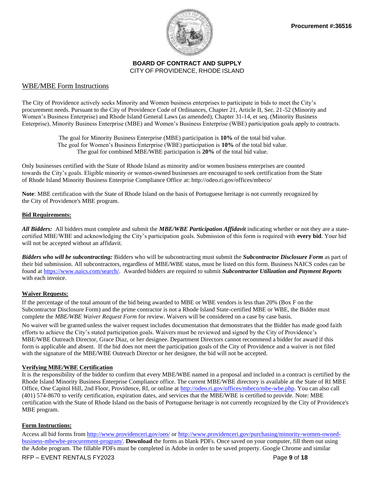

#### WBE/MBE Form Instructions

The City of Providence actively seeks Minority and Women business enterprises to participate in bids to meet the City's procurement needs. Pursuant to the City of Providence Code of Ordinances, Chapter 21, Article II, Sec. 21-52 (Minority and Women's Business Enterprise) and Rhode Island General Laws (as amended), Chapter 31-14, et seq. (Minority Business Enterprise), Minority Business Enterprise (MBE) and Women's Business Enterprise (WBE) participation goals apply to contracts.

> The goal for Minority Business Enterprise (MBE) participation is **10%** of the total bid value. The goal for Women's Business Enterprise (WBE) participation is **10%** of the total bid value. The goal for combined MBE/WBE participation is **20%** of the total bid value.

Only businesses certified with the State of Rhode Island as minority and/or women business enterprises are counted towards the City's goals. Eligible minority or women-owned businesses are encouraged to seek certification from the State of Rhode Island Minority Business Enterprise Compliance Office at: http://odeo.ri.gov/offices/mbeco/

**Note**: MBE certification with the State of Rhode Island on the basis of Portuguese heritage is not currently recognized by the City of Providence's MBE program.

#### **Bid Requirements:**

*All Bidders:* All bidders must complete and submit the *MBE/WBE Participation Affidavit* indicating whether or not they are a statecertified MBE/WBE and acknowledging the City's participation goals. Submission of this form is required with **every bid**. Your bid will not be accepted without an affidavit.

*Bidders who will be subcontracting:* Bidders who will be subcontracting must submit the *Subcontractor Disclosure Form* as part of their bid submission. All subcontractors, regardless of MBE/WBE status, must be listed on this form. Business NAICS codes can be found a[t https://www.naics.com/search/.](https://www.naics.com/search/) Awarded bidders are required to submit *Subcontractor Utilization and Payment Reports* with each invoice.

#### **Waiver Requests:**

If the percentage of the total amount of the bid being awarded to MBE or WBE vendors is less than 20% (Box F on the Subcontractor Disclosure Form) and the prime contractor is not a Rhode Island State-certified MBE or WBE, the Bidder must complete the *MBE/WBE Waiver Request Form* for review. Waivers will be considered on a case by case basis.

No waiver will be granted unless the waiver request includes documentation that demonstrates that the Bidder has made good faith efforts to achieve the City's stated participation goals. Waivers must be reviewed and signed by the City of Providence's MBE/WBE Outreach Director, Grace Diaz, or her designee. Department Directors cannot recommend a bidder for award if this form is applicable and absent. If the bid does not meet the participation goals of the City of Providence and a waiver is not filed with the signature of the MBE/WBE Outreach Director or her designee, the bid will not be accepted.

#### **Verifying MBE/WBE Certification**

It is the responsibility of the bidder to confirm that every MBE/WBE named in a proposal and included in a contract is certified by the Rhode Island Minority Business Enterprise Compliance office. The current MBE/WBE directory is available at the State of RI MBE Office, One Capitol Hill, 2nd Floor, Providence, RI, or online at [http://odeo.ri.gov/offices/mbeco/mbe-wbe.php.](http://odeo.ri.gov/offices/mbeco/mbe-wbe.php) You can also call (401) 574-8670 to verify certification, expiration dates, and services that the MBE/WBE is certified to provide. Note: MBE certification with the State of Rhode Island on the basis of Portuguese heritage is not currently recognized by the City of Providence's MBE program.

#### **Form Instructions:**

Access all bid forms from<http://www.providenceri.gov/oeo/> or [http://www.providenceri.gov/purchasing/minority-women-owned](http://www.providenceri.gov/purchasing/minority-women-owned-business-mbewbe-procurement-program/)[business-mbewbe-procurement-program/.](http://www.providenceri.gov/purchasing/minority-women-owned-business-mbewbe-procurement-program/) **Download** the forms as blank PDFs. Once saved on your computer, fill them out using the Adobe program. The fillable PDFs must be completed in Adobe in order to be saved property. Google Chrome and similar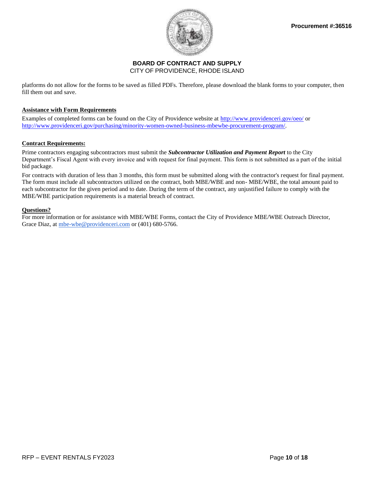

platforms do not allow for the forms to be saved as filled PDFs. Therefore, please download the blank forms to your computer, then fill them out and save.

#### **Assistance with Form Requirements**

Examples of completed forms can be found on the City of Providence website at<http://www.providenceri.gov/oeo/> or [http://www.providenceri.gov/purchasing/minority-women-owned-business-mbewbe-procurement-program/.](http://www.providenceri.gov/purchasing/minority-women-owned-business-mbewbe-procurement-program/)

#### **Contract Requirements:**

Prime contractors engaging subcontractors must submit the *Subcontractor Utilization and Payment Report* to the City Department's Fiscal Agent with every invoice and with request for final payment. This form is not submitted as a part of the initial bid package.

For contracts with duration of less than 3 months, this form must be submitted along with the contractor's request for final payment. The form must include all subcontractors utilized on the contract, both MBE/WBE and non- MBE/WBE, the total amount paid to each subcontractor for the given period and to date. During the term of the contract, any unjustified failure to comply with the MBE/WBE participation requirements is a material breach of contract.

#### **Questions?**

For more information or for assistance with MBE/WBE Forms, contact the City of Providence MBE/WBE Outreach Director, Grace Diaz, at [mbe-wbe@providenceri.com](mailto:mbe-wbe@providenceri.com) or (401) 680-5766.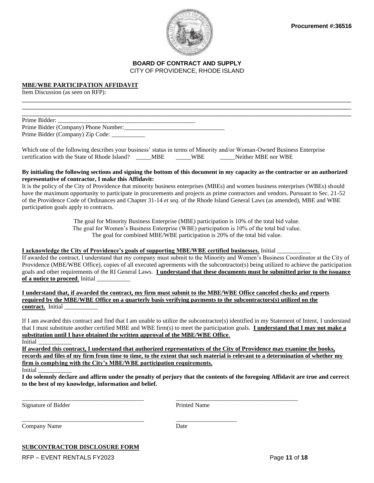



\_\_\_\_\_\_\_\_\_\_\_\_\_\_\_\_\_\_\_\_\_\_\_\_\_\_\_\_\_\_\_\_\_\_\_\_\_\_\_\_\_\_\_\_\_\_\_\_\_\_\_\_\_\_\_\_\_\_\_\_\_\_\_\_\_\_\_\_\_\_\_\_\_\_\_\_\_\_\_\_\_\_\_\_\_\_\_\_\_\_\_\_\_\_\_\_\_  $\Box$ \_\_\_\_\_\_\_\_\_\_\_\_\_\_\_\_\_\_\_\_\_\_\_\_\_\_\_\_\_\_\_\_\_\_\_\_\_\_\_\_\_\_\_\_\_\_\_\_\_\_\_\_\_\_\_\_\_\_\_\_\_\_\_\_\_\_\_\_\_\_\_\_\_\_\_\_\_\_\_\_\_\_\_\_\_\_\_\_\_\_\_\_\_\_\_\_\_

#### **MBE/WBE PARTICIPATION AFFIDAVIT**

Item Discussion (as seen on RFP):

Prime Bidder: Prime Bidder (Company) Phone Number:\_\_\_\_\_\_\_\_\_\_\_\_\_\_\_\_\_\_\_\_\_\_\_\_\_\_\_\_\_\_\_\_\_ Prime Bidder (Company) Zip Code: \_\_\_\_\_\_\_\_\_\_\_

Which one of the following describes your business' status in terms of Minority and/or Woman-Owned Business Enterprise certification with the State of Rhode Island? \_\_\_\_\_MBE \_\_\_\_\_WBE \_\_\_\_\_Neither MBE nor WBE

#### **By initialing the following sections and signing the bottom of this document in my capacity as the contractor or an authorized representative of contractor, I make this Affidavit:**

It is the policy of the City of Providence that minority business enterprises (MBEs) and women business enterprises (WBEs) should have the maximum opportunity to participate in procurements and projects as prime contractors and vendors. Pursuant to Sec. 21-52 of the Providence Code of Ordinances and Chapter 31-14 *et seq*. of the Rhode Island General Laws (as amended), MBE and WBE participation goals apply to contracts.

> The goal for Minority Business Enterprise (MBE) participation is 10% of the total bid value. The goal for Women's Business Enterprise (WBE) participation is 10% of the total bid value. The goal for combined MBE/WBE participation is 20% of the total bid value.

#### **I acknowledge the City of Providence's goals of supporting MBE/WBE certified businesses.** Initial \_\_\_\_\_\_\_\_\_\_\_

If awarded the contract, I understand that my company must submit to the Minority and Women's Business Coordinator at the City of Providence (MBE/WBE Office), copies of all executed agreements with the subcontractor(s) being utilized to achieve the participation goals and other requirements of the RI General Laws. **I understand that these documents must be submitted prior to the issuance of a notice to proceed.** Initial

**I understand that, if awarded the contract, my firm must submit to the MBE/WBE Office canceled checks and reports required by the MBE/WBE Office on a quarterly basis verifying payments to the subcontractors(s) utilized on the contract.** Initial \_\_\_\_\_\_\_\_\_\_\_

If I am awarded this contract and find that I am unable to utilize the subcontractor(s) identified in my Statement of Intent, I understand that I must substitute another certified MBE and WBE firm(s) to meet the participation goals. **I understand that I may not make a substitution until I have obtained the written approval of the MBE/WBE Office**. Initial \_\_\_\_\_\_\_\_\_\_\_

**If awarded this contract, I understand that authorized representatives of the City of Providence may examine the books, records and files of my firm from time to time, to the extent that such material is relevant to a determination of whether my firm is complying with the City's MBE/WBE participation requirements.** 

Initial \_\_\_\_\_\_\_\_\_\_\_

**I do solemnly declare and affirm under the penalty of perjury that the contents of the foregoing Affidavit are true and correct to the best of my knowledge, information and belief.**

Signature of Bidder Printed Name

Company Name Date

\_\_\_\_\_\_\_\_\_\_\_\_\_\_\_\_\_\_\_\_\_\_\_\_\_\_\_\_\_\_\_\_\_\_\_\_\_\_\_\_ \_\_\_\_\_\_\_\_\_\_\_\_\_\_\_\_\_\_\_\_\_\_\_\_\_\_\_\_\_\_\_\_\_\_\_\_\_\_\_\_

\_\_\_\_\_\_\_\_\_\_\_\_\_\_\_\_\_\_\_\_\_\_\_\_\_\_\_\_\_\_\_\_\_\_\_\_\_\_\_\_ \_\_\_\_\_\_\_\_\_\_\_\_\_\_\_\_\_\_\_\_

#### **SUBCONTRACTOR DISCLOSURE FORM**

RFP – EVENT RENTALS FY2023 Page **11** of **18**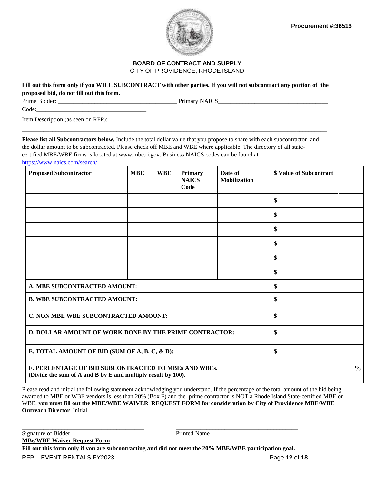

Fill out this form only if you WILL SUBCONTRACT with other parties. If you will not subcontract any portion of the **proposed bid, do not fill out this form.**

Prime Bidder: \_\_\_\_\_\_\_\_\_\_\_\_\_\_\_\_\_\_\_\_\_\_\_\_\_\_\_\_\_\_\_\_\_\_\_\_\_\_\_ Primary NAICS\_\_\_\_\_\_\_\_\_\_\_\_\_\_\_\_\_\_\_\_\_\_\_\_\_\_\_\_\_\_\_\_\_\_\_\_

Code:

Item Description (as seen on RFP):\_\_\_\_\_\_\_\_\_\_\_\_\_\_\_\_\_\_\_\_\_\_\_\_\_\_\_\_\_\_\_\_\_\_\_\_\_\_\_\_\_\_\_\_\_\_\_\_\_\_\_\_\_\_\_\_\_\_\_\_\_\_\_\_\_\_\_\_\_\_\_\_

**Please list all Subcontractors below.** Include the total dollar value that you propose to share with each subcontractor and the dollar amount to be subcontracted. Please check off MBE and WBE where applicable. The directory of all statecertified MBE/WBE firms is located at [www.mbe.ri.gov.](http://www.mbe.ri.gov/) Business NAICS codes can be found at

\_\_\_\_\_\_\_\_\_\_\_\_\_\_\_\_\_\_\_\_\_\_\_\_\_\_\_\_\_\_\_\_\_\_\_\_\_\_\_\_\_\_\_\_\_\_\_\_\_\_\_\_\_\_\_\_\_\_\_\_\_\_\_\_\_\_\_\_\_\_\_\_\_\_\_\_\_\_\_\_\_\_\_\_\_\_\_\_\_\_\_\_\_\_\_\_\_\_\_\_

<https://www.naics.com/search/>

| <b>Proposed Subcontractor</b>                                                                                        | <b>MBE</b> | <b>WBE</b> | <b>Primary</b><br><b>NAICS</b><br>Code | Date of<br><b>Mobilization</b> | <b>\$ Value of Subcontract</b> |
|----------------------------------------------------------------------------------------------------------------------|------------|------------|----------------------------------------|--------------------------------|--------------------------------|
|                                                                                                                      |            |            |                                        |                                | \$                             |
|                                                                                                                      |            |            |                                        |                                | \$                             |
|                                                                                                                      |            |            |                                        |                                | \$                             |
|                                                                                                                      |            |            |                                        |                                | \$                             |
|                                                                                                                      |            |            |                                        |                                | \$                             |
|                                                                                                                      |            |            |                                        |                                | \$                             |
| A. MBE SUBCONTRACTED AMOUNT:                                                                                         |            |            | \$                                     |                                |                                |
| <b>B. WBE SUBCONTRACTED AMOUNT:</b>                                                                                  |            |            | \$                                     |                                |                                |
| C. NON MBE WBE SUBCONTRACTED AMOUNT:                                                                                 |            |            | \$                                     |                                |                                |
| D. DOLLAR AMOUNT OF WORK DONE BY THE PRIME CONTRACTOR:                                                               |            |            | \$                                     |                                |                                |
| E. TOTAL AMOUNT OF BID (SUM OF A, B, C, & D):                                                                        |            |            | \$                                     |                                |                                |
| F. PERCENTAGE OF BID SUBCONTRACTED TO MBEs AND WBEs.<br>(Divide the sum of A and B by E and multiply result by 100). |            |            |                                        |                                | $\frac{6}{10}$                 |

Please read and initial the following statement acknowledging you understand. If the percentage of the total amount of the bid being awarded to MBE or WBE vendors is less than 20% (Box F) and the prime contractor is NOT a Rhode Island State-certified MBE or WBE, **you must fill out the MBE/WBE WAIVER REQUEST FORM for consideration by City of Providence MBE/WBE Outreach Director**. Initial

RFP – EVENT RENTALS FY2023 Page **12** of **18** Signature of Bidder Printed Name **MBe/WBE Waiver Request Form Fill out this form only if you are subcontracting and did not meet the 20% MBE/WBE participation goal.** 

\_\_\_\_\_\_\_\_\_\_\_\_\_\_\_\_\_\_\_\_\_\_\_\_\_\_\_\_\_\_\_\_\_\_\_\_\_\_\_\_ \_\_\_\_\_\_\_\_\_\_\_\_\_\_\_\_\_\_\_\_\_\_\_\_\_\_\_\_\_\_\_\_\_\_\_\_\_\_\_\_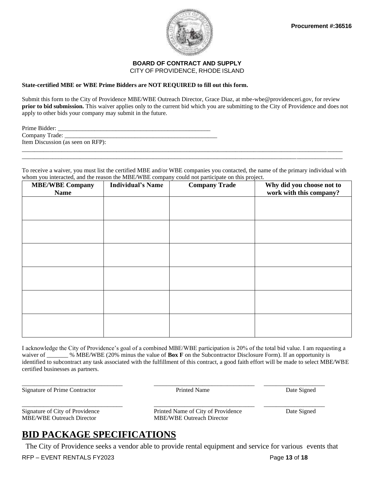

#### **State-certified MBE or WBE Prime Bidders are NOT REQUIRED to fill out this form.**

Submit this form to the City of Providence MBE/WBE Outreach Director, Grace Diaz, at mbe-wbe@providenceri.gov, for review **prior to bid submission.** This waiver applies only to the current bid which you are submitting to the City of Providence and does not apply to other bids your company may submit in the future.

To receive a waiver, you must list the certified MBE and/or WBE companies you contacted, the name of the primary individual with whom you interacted, and the reason the MBE/WBE company could not participate on this project.

\_\_\_\_\_\_\_\_\_\_\_\_\_\_\_\_\_\_\_\_\_\_\_\_\_\_\_\_\_\_\_\_\_\_\_\_\_\_\_\_\_\_\_\_\_\_\_\_\_\_\_\_\_\_\_\_\_\_\_\_\_\_\_\_\_\_\_\_\_\_\_\_\_\_\_\_\_\_\_\_\_\_\_\_\_\_\_\_\_\_\_\_\_\_\_\_\_\_\_\_\_\_\_\_\_

| <b>MBE/WBE Company</b><br><b>Name</b> | <b>Individual's Name</b> | where you interacted, and the reason are ringly when y court not participate on this project.<br><b>Company Trade</b> | Why did you choose not to<br>work with this company? |
|---------------------------------------|--------------------------|-----------------------------------------------------------------------------------------------------------------------|------------------------------------------------------|
|                                       |                          |                                                                                                                       |                                                      |
|                                       |                          |                                                                                                                       |                                                      |
|                                       |                          |                                                                                                                       |                                                      |
|                                       |                          |                                                                                                                       |                                                      |
|                                       |                          |                                                                                                                       |                                                      |
|                                       |                          |                                                                                                                       |                                                      |
|                                       |                          |                                                                                                                       |                                                      |

I acknowledge the City of Providence's goal of a combined MBE/WBE participation is 20% of the total bid value. I am requesting a waiver of \_\_\_\_\_\_ % MBE/WBE (20% minus the value of **Box F** on the Subcontractor Disclosure Form). If an opportunity is identified to subcontract any task associated with the fulfillment of this contract, a good faith effort will be made to select MBE/WBE certified businesses as partners.

\_\_\_\_\_\_\_\_\_\_\_\_\_\_\_\_\_\_\_\_\_\_\_\_\_\_\_\_\_\_\_\_\_ \_\_\_\_\_\_\_\_\_\_\_\_\_\_\_\_\_\_\_\_\_\_\_\_\_\_\_\_\_\_\_\_\_ \_\_\_\_\_\_\_\_\_\_\_\_\_\_\_\_\_\_\_\_

Signature of Prime Contractor **Prime Contractor** Prime Printed Name Date Signed

MBE/WBE Outreach Director MBE/WBE Outreach Director

\_\_\_\_\_\_\_\_\_\_\_\_\_\_\_\_\_\_\_\_\_\_\_\_\_\_\_\_\_\_\_\_\_ \_\_\_\_\_\_\_\_\_\_\_\_\_\_\_\_\_\_\_\_\_\_\_\_\_\_\_\_\_\_\_\_\_ \_\_\_\_\_\_\_\_\_\_\_\_\_\_\_\_\_\_\_\_ Signature of City of Providence Printed Name of City of Providence Date Signed

# **BID PACKAGE SPECIFICATIONS**

The City of Providence seeks a vendor able to provide rental equipment and service for various events that

RFP – EVENT RENTALS FY2023 Page **13** of **18**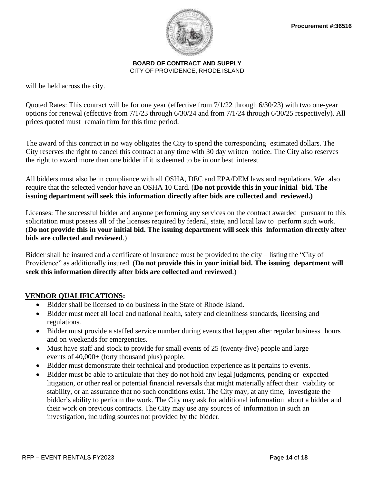

will be held across the city.

Quoted Rates: This contract will be for one year (effective from 7/1/22 through 6/30/23) with two one-year options for renewal (effective from 7/1/23 through 6/30/24 and from 7/1/24 through 6/30/25 respectively). All prices quoted must remain firm for this time period.

The award of this contract in no way obligates the City to spend the corresponding estimated dollars. The City reserves the right to cancel this contract at any time with 30 day written notice. The City also reserves the right to award more than one bidder if it is deemed to be in our best interest.

All bidders must also be in compliance with all OSHA, DEC and EPA/DEM laws and regulations. We also require that the selected vendor have an OSHA 10 Card. (**Do not provide this in your initial bid. The issuing department will seek this information directly after bids are collected and reviewed.)**

Licenses: The successful bidder and anyone performing any services on the contract awarded pursuant to this solicitation must possess all of the licenses required by federal, state, and local law to perform such work. (**Do not provide this in your initial bid. The issuing department will seek this information directly after bids are collected and reviewed**.)

Bidder shall be insured and a certificate of insurance must be provided to the city – listing the "City of Providence" as additionally insured. (**Do not provide this in your initial bid. The issuing department will seek this information directly after bids are collected and reviewed**.)

## **VENDOR QUALIFICATIONS:**

- Bidder shall be licensed to do business in the State of Rhode Island.
- Bidder must meet all local and national health, safety and cleanliness standards, licensing and regulations.
- Bidder must provide a staffed service number during events that happen after regular business hours and on weekends for emergencies.
- Must have staff and stock to provide for small events of 25 (twenty-five) people and large events of 40,000+ (forty thousand plus) people.
- Bidder must demonstrate their technical and production experience as it pertains to events.
- Bidder must be able to articulate that they do not hold any legal judgments, pending or expected litigation, or other real or potential financial reversals that might materially affect their viability or stability, or an assurance that no such conditions exist. The City may, at any time, investigate the bidder's ability to perform the work. The City may ask for additional information about a bidder and their work on previous contracts. The City may use any sources of information in such an investigation, including sources not provided by the bidder.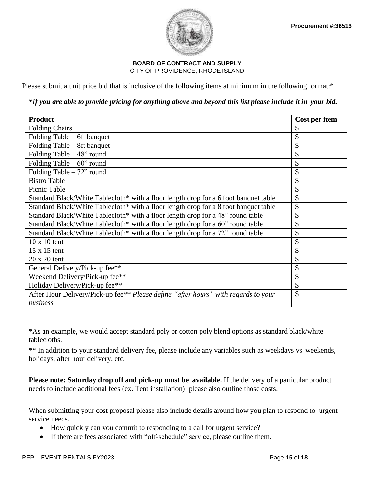



Please submit a unit price bid that is inclusive of the following items at minimum in the following format:\*

\*If you are able to provide pricing for anything above and beyond this list please include it in your bid.

| <b>Product</b>                                                                       | Cost per item |
|--------------------------------------------------------------------------------------|---------------|
| <b>Folding Chairs</b>                                                                | \$            |
| Folding Table – 6ft banquet                                                          | \$            |
| Folding Table – 8ft banquet                                                          | \$            |
| Folding Table $-48$ " round                                                          | \$            |
| Folding Table $-60$ " round                                                          | \$            |
| Folding Table $-72$ " round                                                          | \$            |
| <b>Bistro Table</b>                                                                  | \$            |
| Picnic Table                                                                         | \$            |
| Standard Black/White Tablecloth* with a floor length drop for a 6 foot banquet table | \$            |
| Standard Black/White Tablecloth* with a floor length drop for a 8 foot banquet table | \$            |
| Standard Black/White Tablecloth* with a floor length drop for a 48" round table      | \$            |
| Standard Black/White Tablecloth* with a floor length drop for a 60" round table      | \$            |
| Standard Black/White Tablecloth* with a floor length drop for a 72" round table      | \$            |
| $10 \times 10$ tent                                                                  | \$            |
| $15 \times 15$ tent                                                                  | \$            |
| $20 \times 20$ tent                                                                  | \$            |
| General Delivery/Pick-up fee**                                                       | \$            |
| Weekend Delivery/Pick-up fee**                                                       | \$            |
| Holiday Delivery/Pick-up fee**                                                       | \$            |
| After Hour Delivery/Pick-up fee** Please define "after hours" with regards to your   | $\mathcal{S}$ |
| business.                                                                            |               |

\*As an example, we would accept standard poly or cotton poly blend options as standard black/white tablecloths.

\*\* In addition to your standard delivery fee, please include any variables such as weekdays vs weekends, holidays, after hour delivery, etc.

**Please note: Saturday drop off and pick-up must be available.** If the delivery of a particular product needs to include additional fees (ex. Tent installation) please also outline those costs.

When submitting your cost proposal please also include details around how you plan to respond to urgent service needs.

- How quickly can you commit to responding to a call for urgent service?
- If there are fees associated with "off-schedule" service, please outline them.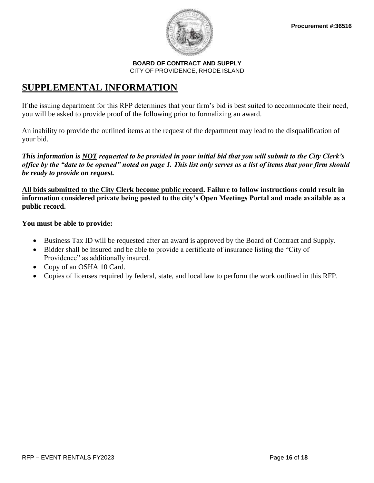

## **SUPPLEMENTAL INFORMATION**

If the issuing department for this RFP determines that your firm's bid is best suited to accommodate their need, you will be asked to provide proof of the following prior to formalizing an award.

An inability to provide the outlined items at the request of the department may lead to the disqualification of your bid.

*This information is NOT requested to be provided in your initial bid that you will submit to the City Clerk's office by the "date to be opened" noted on page 1. This list only serves as a list of items that your firm should be ready to provide on request.*

**All bids submitted to the City Clerk become public record. Failure to follow instructions could result in information considered private being posted to the city's Open Meetings Portal and made available as a public record.** 

## **You must be able to provide:**

- Business Tax ID will be requested after an award is approved by the Board of Contract and Supply.
- Bidder shall be insured and be able to provide a certificate of insurance listing the "City of Providence" as additionally insured.
- Copy of an OSHA 10 Card.
- Copies of licenses required by federal, state, and local law to perform the work outlined in this RFP.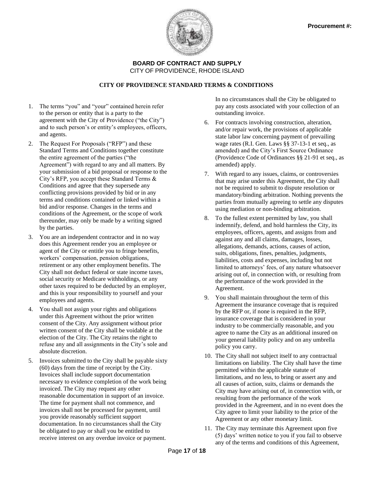

#### **CITY OF PROVIDENCE STANDARD TERMS & CONDITIONS**

- 1. The terms "you" and "your" contained herein refer to the person or entity that is a party to the agreement with the City of Providence ("the City") and to such person's or entity's employees, officers, and agents.
- 2. The Request For Proposals ("RFP") and these Standard Terms and Conditions together constitute the entire agreement of the parties ("the Agreement") with regard to any and all matters. By your submission of a bid proposal or response to the City's RFP, you accept these Standard Terms & Conditions and agree that they supersede any conflicting provisions provided by bid or in any terms and conditions contained or linked within a bid and/or response. Changes in the terms and conditions of the Agreement, or the scope of work thereunder, may only be made by a writing signed by the parties.
- 3. You are an independent contractor and in no way does this Agreement render you an employee or agent of the City or entitle you to fringe benefits, workers' compensation, pension obligations, retirement or any other employment benefits. The City shall not deduct federal or state income taxes, social security or Medicare withholdings, or any other taxes required to be deducted by an employer, and this is your responsibility to yourself and your employees and agents.
- 4. You shall not assign your rights and obligations under this Agreement without the prior written consent of the City. Any assignment without prior written consent of the City shall be voidable at the election of the City. The City retains the right to refuse any and all assignments in the City's sole and absolute discretion.
- 5. Invoices submitted to the City shall be payable sixty (60) days from the time of receipt by the City. Invoices shall include support documentation necessary to evidence completion of the work being invoiced. The City may request any other reasonable documentation in support of an invoice. The time for payment shall not commence, and invoices shall not be processed for payment, until you provide reasonably sufficient support documentation. In no circumstances shall the City be obligated to pay or shall you be entitled to receive interest on any overdue invoice or payment.

In no circumstances shall the City be obligated to pay any costs associated with your collection of an outstanding invoice.

- 6. For contracts involving construction, alteration, and/or repair work, the provisions of applicable state labor law concerning payment of prevailing wage rates (R.I. Gen. Laws §§ 37-13-1 et seq., as amended) and the City's First Source Ordinance (Providence Code of Ordinances §§ 21-91 et seq., as amended) apply.
- 7. With regard to any issues, claims, or controversies that may arise under this Agreement, the City shall not be required to submit to dispute resolution or mandatory/binding arbitration. Nothing prevents the parties from mutually agreeing to settle any disputes using mediation or non-binding arbitration.
- 8. To the fullest extent permitted by law, you shall indemnify, defend, and hold harmless the City, its employees, officers, agents, and assigns from and against any and all claims, damages, losses, allegations, demands, actions, causes of action, suits, obligations, fines, penalties, judgments, liabilities, costs and expenses, including but not limited to attorneys' fees, of any nature whatsoever arising out of, in connection with, or resulting from the performance of the work provided in the Agreement.
- 9. You shall maintain throughout the term of this Agreement the insurance coverage that is required by the RFP or, if none is required in the RFP, insurance coverage that is considered in your industry to be commercially reasonable, and you agree to name the City as an additional insured on your general liability policy and on any umbrella policy you carry.
- 10. The City shall not subject itself to any contractual limitations on liability. The City shall have the time permitted within the applicable statute of limitations, and no less, to bring or assert any and all causes of action, suits, claims or demands the City may have arising out of, in connection with, or resulting from the performance of the work provided in the Agreement, and in no event does the City agree to limit your liability to the price of the Agreement or any other monetary limit.
- 11. The City may terminate this Agreement upon five (5) days' written notice to you if you fail to observe any of the terms and conditions of this Agreement,